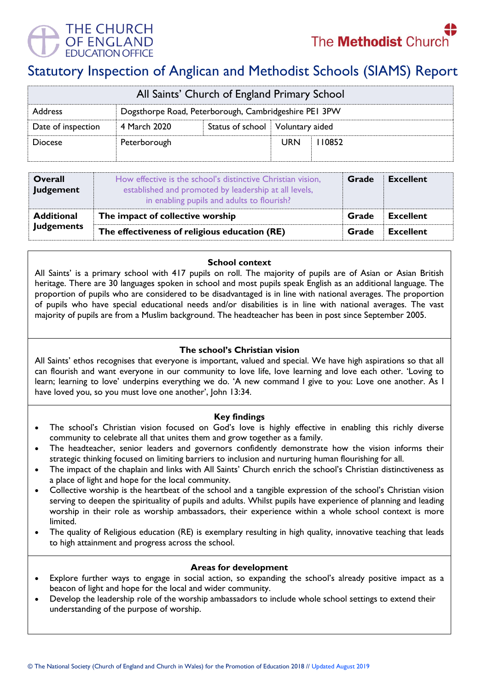



# Statutory Inspection of Anglican and Methodist Schools (SIAMS) Report

| All Saints' Church of England Primary School |                                                       |                                    |            |        |  |  |
|----------------------------------------------|-------------------------------------------------------|------------------------------------|------------|--------|--|--|
| Address                                      | Dogsthorpe Road, Peterborough, Cambridgeshire PEI 3PW |                                    |            |        |  |  |
| Date of inspection                           | 4 March 2020                                          | Status of school   Voluntary aided |            |        |  |  |
| <b>Diocese</b>                               | Peterborough                                          |                                    | <b>URN</b> | 110852 |  |  |

| <b>Overall</b><br>Judgement | How effective is the school's distinctive Christian vision,<br>established and promoted by leadership at all levels,<br>in enabling pupils and adults to flourish? | Grade | <b>Excellent</b> |
|-----------------------------|--------------------------------------------------------------------------------------------------------------------------------------------------------------------|-------|------------------|
| <b>Additional</b>           | The impact of collective worship                                                                                                                                   |       | <b>Excellent</b> |
| <b>Judgements</b>           | The effectiveness of religious education (RE)                                                                                                                      |       | <b>Excellent</b> |

## **School context**

All Saints' is a primary school with 417 pupils on roll. The majority of pupils are of Asian or Asian British heritage. There are 30 languages spoken in school and most pupils speak English as an additional language. The proportion of pupils who are considered to be disadvantaged is in line with national averages. The proportion of pupils who have special educational needs and/or disabilities is in line with national averages. The vast majority of pupils are from a Muslim background. The headteacher has been in post since September 2005.

# **The school's Christian vision**

All Saints' ethos recognises that everyone is important, valued and special. We have high aspirations so that all can flourish and want everyone in our community to love life, love learning and love each other. 'Loving to learn; learning to love' underpins everything we do. 'A new command I give to you: Love one another. As I have loved you, so you must love one another', John 13:34.

#### **Key findings**

- The school's Christian vision focused on God's love is highly effective in enabling this richly diverse community to celebrate all that unites them and grow together as a family.
- The headteacher, senior leaders and governors confidently demonstrate how the vision informs their strategic thinking focused on limiting barriers to inclusion and nurturing human flourishing for all.
- The impact of the chaplain and links with All Saints' Church enrich the school's Christian distinctiveness as a place of light and hope for the local community.
- Collective worship is the heartbeat of the school and a tangible expression of the school's Christian vision serving to deepen the spirituality of pupils and adults. Whilst pupils have experience of planning and leading worship in their role as worship ambassadors, their experience within a whole school context is more limited.
- The quality of Religious education (RE) is exemplary resulting in high quality, innovative teaching that leads to high attainment and progress across the school.

#### **Areas for development**

- Explore further ways to engage in social action, so expanding the school's already positive impact as a beacon of light and hope for the local and wider community.
- Develop the leadership role of the worship ambassadors to include whole school settings to extend their understanding of the purpose of worship.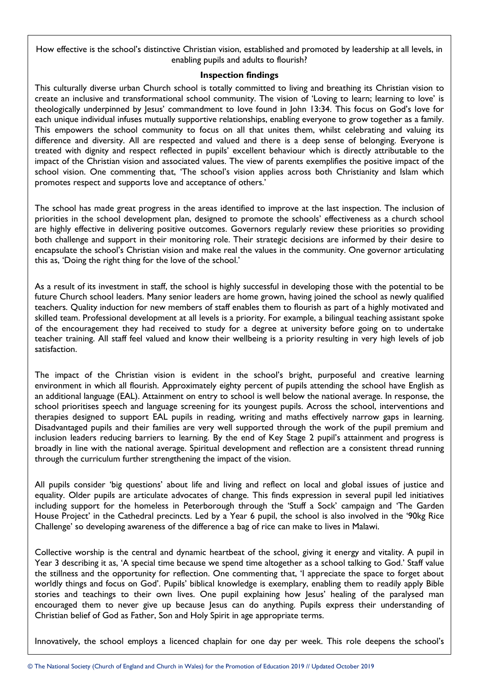How effective is the school's distinctive Christian vision, established and promoted by leadership at all levels, in enabling pupils and adults to flourish?

#### **Inspection findings**

This culturally diverse urban Church school is totally committed to living and breathing its Christian vision to create an inclusive and transformational school community. The vision of 'Loving to learn; learning to love' is theologically underpinned by Jesus' commandment to love found in John 13:34. This focus on God's love for each unique individual infuses mutually supportive relationships, enabling everyone to grow together as a family. This empowers the school community to focus on all that unites them, whilst celebrating and valuing its difference and diversity. All are respected and valued and there is a deep sense of belonging. Everyone is treated with dignity and respect reflected in pupils' excellent behaviour which is directly attributable to the impact of the Christian vision and associated values. The view of parents exemplifies the positive impact of the school vision. One commenting that, 'The school's vision applies across both Christianity and Islam which promotes respect and supports love and acceptance of others.'

The school has made great progress in the areas identified to improve at the last inspection. The inclusion of priorities in the school development plan, designed to promote the schools' effectiveness as a church school are highly effective in delivering positive outcomes. Governors regularly review these priorities so providing both challenge and support in their monitoring role. Their strategic decisions are informed by their desire to encapsulate the school's Christian vision and make real the values in the community. One governor articulating this as, 'Doing the right thing for the love of the school.'

As a result of its investment in staff, the school is highly successful in developing those with the potential to be future Church school leaders. Many senior leaders are home grown, having joined the school as newly qualified teachers. Quality induction for new members of staff enables them to flourish as part of a highly motivated and skilled team. Professional development at all levels is a priority. For example, a bilingual teaching assistant spoke of the encouragement they had received to study for a degree at university before going on to undertake teacher training. All staff feel valued and know their wellbeing is a priority resulting in very high levels of job satisfaction.

The impact of the Christian vision is evident in the school's bright, purposeful and creative learning environment in which all flourish. Approximately eighty percent of pupils attending the school have English as an additional language (EAL). Attainment on entry to school is well below the national average. In response, the school prioritises speech and language screening for its youngest pupils. Across the school, interventions and therapies designed to support EAL pupils in reading, writing and maths effectively narrow gaps in learning. Disadvantaged pupils and their families are very well supported through the work of the pupil premium and inclusion leaders reducing barriers to learning. By the end of Key Stage 2 pupil's attainment and progress is broadly in line with the national average. Spiritual development and reflection are a consistent thread running through the curriculum further strengthening the impact of the vision.

All pupils consider 'big questions' about life and living and reflect on local and global issues of justice and equality. Older pupils are articulate advocates of change. This finds expression in several pupil led initiatives including support for the homeless in Peterborough through the 'Stuff a Sock' campaign and 'The Garden House Project' in the Cathedral precincts. Led by a Year 6 pupil, the school is also involved in the '90kg Rice Challenge' so developing awareness of the difference a bag of rice can make to lives in Malawi.

Collective worship is the central and dynamic heartbeat of the school, giving it energy and vitality. A pupil in Year 3 describing it as, 'A special time because we spend time altogether as a school talking to God.' Staff value the stillness and the opportunity for reflection. One commenting that, 'I appreciate the space to forget about worldly things and focus on God'. Pupils' biblical knowledge is exemplary, enabling them to readily apply Bible stories and teachings to their own lives. One pupil explaining how Jesus' healing of the paralysed man encouraged them to never give up because Jesus can do anything. Pupils express their understanding of Christian belief of God as Father, Son and Holy Spirit in age appropriate terms.

Innovatively, the school employs a licenced chaplain for one day per week. This role deepens the school's